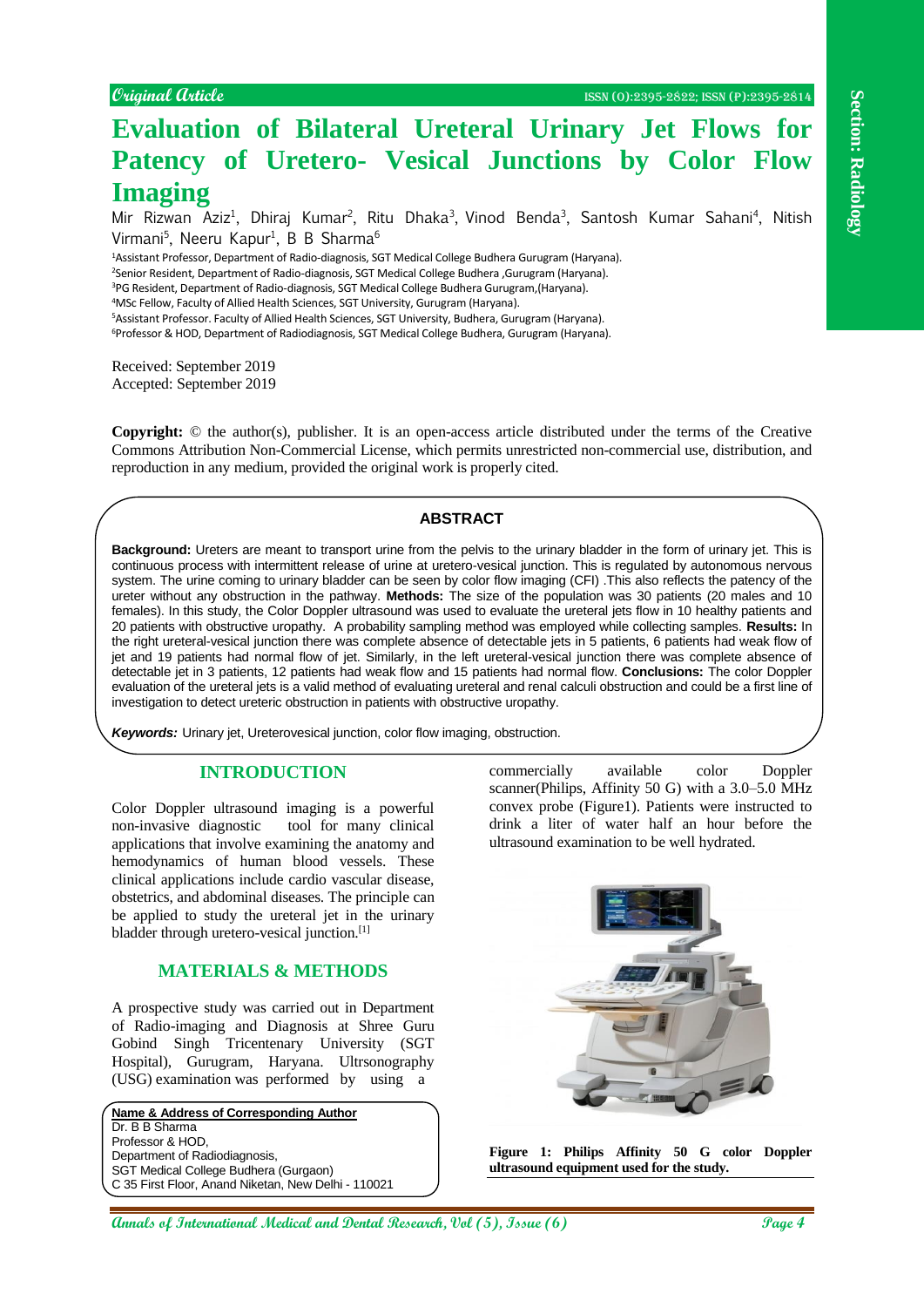# **Evaluation of Bilateral Ureteral Urinary Jet Flows for Patency of Uretero- Vesical Junctions by Color Flow Imaging**

Mir Rizwan Aziz<sup>1</sup>, Dhiraj Kumar<sup>2</sup>, Ritu Dhaka<sup>3</sup>, Vinod Benda<sup>3</sup>, Santosh Kumar Sahani<sup>4</sup>, Nitish Virmani<sup>5</sup>, Neeru Kapur<sup>1</sup>, B B Sharma<sup>6</sup>

<sup>1</sup>Assistant Professor, Department of Radio-diagnosis, SGT Medical College Budhera Gurugram (Haryana).

<sup>2</sup>Senior Resident, Department of Radio-diagnosis, SGT Medical College Budhera ,Gurugram (Haryana).

<sup>3</sup>PG Resident, Department of Radio-diagnosis, SGT Medical College Budhera Gurugram,(Haryana).

<sup>4</sup>MSc Fellow, Faculty of Allied Health Sciences, SGT University, Gurugram (Haryana).

<sup>5</sup>Assistant Professor. Faculty of Allied Health Sciences, SGT University, Budhera, Gurugram (Haryana).

<sup>6</sup>Professor & HOD, Department of Radiodiagnosis, SGT Medical College Budhera, Gurugram (Haryana).

Received: September 2019 Accepted: September 2019

**Copyright:** © the author(s), publisher. It is an open-access article distributed under the terms of the Creative Commons Attribution Non-Commercial License, which permits unrestricted non-commercial use, distribution, and reproduction in any medium, provided the original work is properly cited.

# **ABSTRACT**

**Answer Continued The Continued Continued Continued Continued Continued Continued Continued Continued Continued Continued Continued Continued Continued Continued Continued Continued Continued Continued Continued Continued Background:** Ureters are meant to transport urine from the pelvis to the urinary bladder in the form of urinary jet. This is continuous process with intermittent release of urine at uretero-vesical junction. This is regulated by autonomous nervous system. The urine coming to urinary bladder can be seen by color flow imaging (CFI) .This also reflects the patency of the ureter without any obstruction in the pathway. **Methods:** The size of the population was 30 patients (20 males and 10 females). In this study, the Color Doppler ultrasound was used to evaluate the ureteral jets flow in 10 healthy patients and 20 patients with obstructive uropathy. A probability sampling method was employed while collecting samples. **Results:** In the right ureteral-vesical junction there was complete absence of detectable jets in 5 patients, 6 patients had weak flow of jet and 19 patients had normal flow of jet. Similarly, in the left ureteral-vesical junction there was complete absence of detectable jet in 3 patients, 12 patients had weak flow and 15 patients had normal flow. **Conclusions:** The color Doppler evaluation of the ureteral jets is a valid method of evaluating ureteral and renal calculi obstruction and could be a first line of investigation to detect ureteric obstruction in patients with obstructive uropathy.

*Keywords:* Urinary jet, Ureterovesical junction, color flow imaging, obstruction,

## **INTRODUCTION**

Color Doppler ultrasound imaging is a powerful non-invasive diagnostic tool for many clinical applications that involve examining the anatomy and hemodynamics of human blood vessels. These clinical applications include cardio vascular disease, obstetrics, and abdominal diseases. The principle can be applied to study the ureteral jet in the urinary bladder through uretero-vesical junction.[1]

### **MATERIALS & METHODS**

A prospective study was carried out in Department of Radio-imaging and Diagnosis at Shree Guru Gobind Singh Tricentenary University (SGT Hospital), Gurugram, Haryana. Ultrsonography (USG) examination was performed by using a

**Name & Address of Corresponding Author** Dr. B B Sharma Professor & HOD, Department of Radiodiagnosis, SGT Medical College Budhera (Gurgaon) C 35 First Floor, Anand Niketan, New Delhi - 110021 commercially available color Doppler scanner(Philips, Affinity 50 G) with a 3.0–5.0 MHz convex probe (Figure1). Patients were instructed to drink a liter of water half an hour before the ultrasound examination to be well hydrated.



**Figure 1: Philips Affinity 50 G color Doppler ultrasound equipment used for the study.**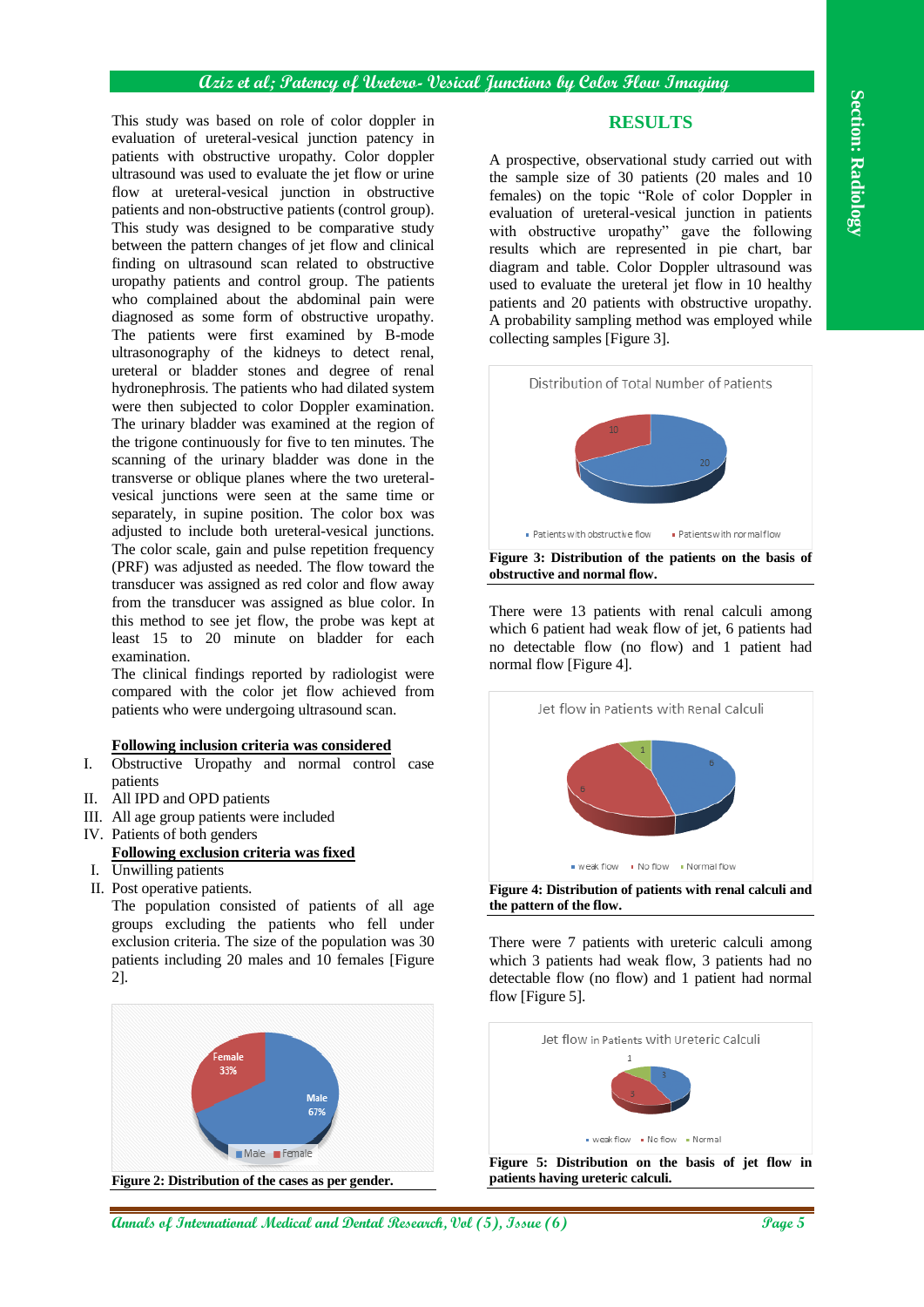The anity was been on the of volet steps of  $\alpha$  (*An* and Dental Research, *Controlling carried radio* and Dental and Dental Research and Dental Research and Dental Research and Dental Research and Dental Research and De This study was based on role of color doppler in evaluation of ureteral-vesical junction patency in patients with obstructive uropathy. Color doppler ultrasound was used to evaluate the jet flow or urine flow at ureteral-vesical junction in obstructive patients and non-obstructive patients (control group). This study was designed to be comparative study between the pattern changes of jet flow and clinical finding on ultrasound scan related to obstructive uropathy patients and control group. The patients who complained about the abdominal pain were diagnosed as some form of obstructive uropathy. The patients were first examined by B-mode ultrasonography of the kidneys to detect renal, ureteral or bladder stones and degree of renal hydronephrosis. The patients who had dilated system were then subjected to color Doppler examination. The urinary bladder was examined at the region of the trigone continuously for five to ten minutes. The scanning of the urinary bladder was done in the transverse or oblique planes where the two ureteralvesical junctions were seen at the same time or separately, in supine position. The color box was adjusted to include both ureteral-vesical junctions. The color scale, gain and pulse repetition frequency (PRF) was adjusted as needed. The flow toward the transducer was assigned as red color and flow away from the transducer was assigned as blue color. In this method to see jet flow, the probe was kept at least 15 to 20 minute on bladder for each examination.

The clinical findings reported by radiologist were compared with the color jet flow achieved from patients who were undergoing ultrasound scan.

#### **Following inclusion criteria was considered**

- I. Obstructive Uropathy and normal control case patients
- II. All IPD and OPD patients
- III. All age group patients were included
- IV. Patients of both genders

### **Following exclusion criteria was fixed**

- I. Unwilling patients
- II. Post operative patients.

The population consisted of patients of all age groups excluding the patients who fell under exclusion criteria. The size of the population was 30 patients including 20 males and 10 females [Figure 2].



**RESULTS**

A prospective, observational study carried out with the sample size of 30 patients (20 males and 10 females) on the topic "Role of color Doppler in evaluation of ureteral-vesical junction in patients with obstructive uropathy" gave the following results which are represented in pie chart, bar diagram and table. Color Doppler ultrasound was used to evaluate the ureteral jet flow in 10 healthy patients and 20 patients with obstructive uropathy. A probability sampling method was employed while collecting samples [Figure 3].



There were 13 patients with renal calculi among which 6 patient had weak flow of jet, 6 patients had no detectable flow (no flow) and 1 patient had normal flow [Figure 4].



**Figure 4: Distribution of patients with renal calculi and the pattern of the flow.**

There were 7 patients with ureteric calculi among which 3 patients had weak flow, 3 patients had no detectable flow (no flow) and 1 patient had normal flow [Figure 5].



**Figure 5: Distribution on the basis of jet flow in patients having ureteric calculi.**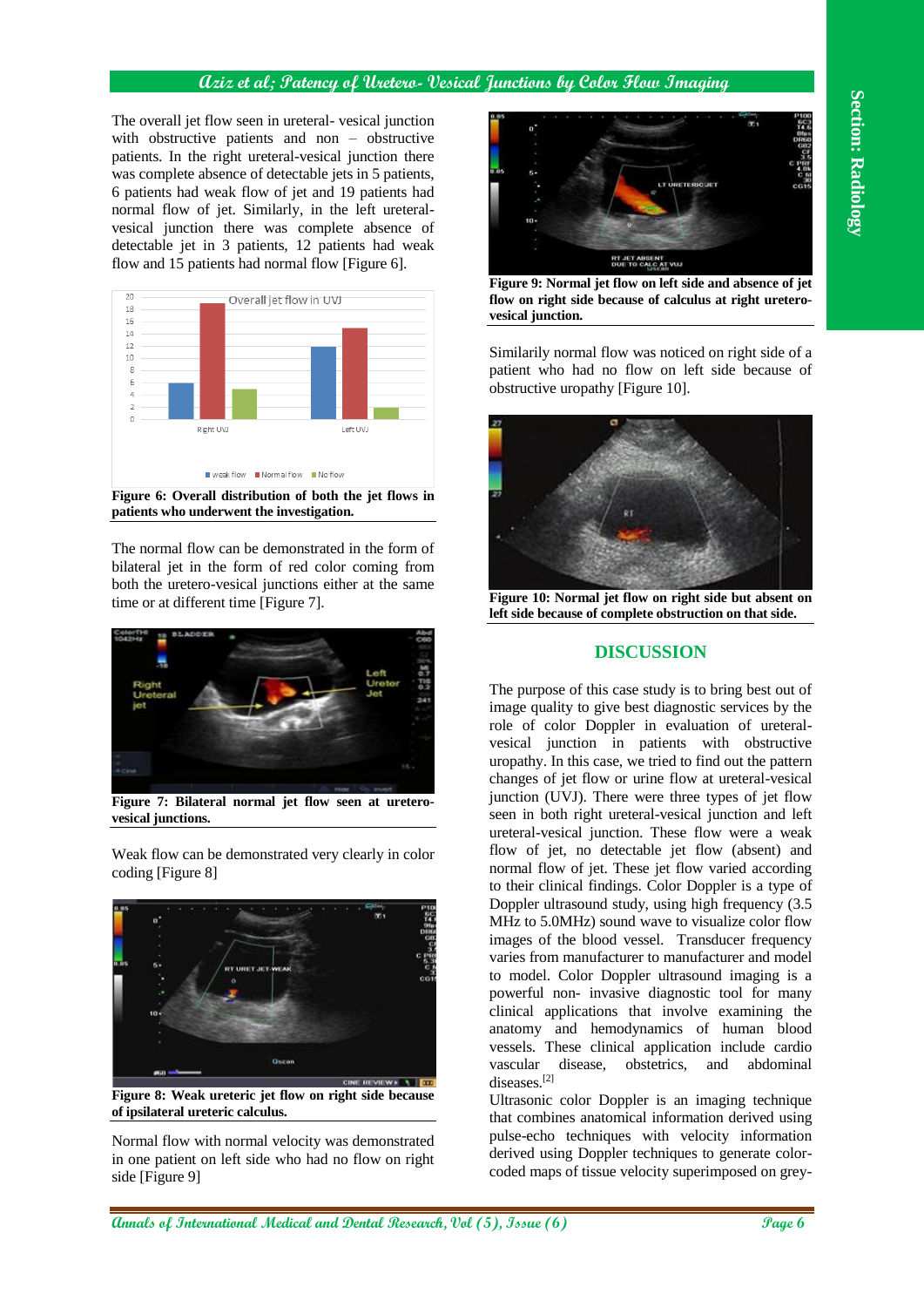### **Aziz et al; Patency of Uretero- Vesical Junctions by Color Flow Imaging**

The overall jet flow seen in ureteral- vesical junction with obstructive patients and non – obstructive patients. In the right ureteral-vesical junction there was complete absence of detectable jets in 5 patients, 6 patients had weak flow of jet and 19 patients had normal flow of jet. Similarly, in the left ureteralvesical junction there was complete absence of detectable jet in 3 patients, 12 patients had weak flow and 15 patients had normal flow [Figure 6].



**Figure 6: Overall distribution of both the jet flows in patients who underwent the investigation.**

The normal flow can be demonstrated in the form of bilateral jet in the form of red color coming from both the uretero-vesical junctions either at the same time or at different time [Figure 7].



**Figure 7: Bilateral normal jet flow seen at ureterovesical junctions.**

Weak flow can be demonstrated very clearly in color coding [Figure 8]



**Figure 8: Weak ureteric jet flow on right side because of ipsilateral ureteric calculus.**

Normal flow with normal velocity was demonstrated in one patient on left side who had no flow on right side [Figure 9]



**Figure 9: Normal jet flow on left side and absence of jet flow on right side because of calculus at right ureterovesical junction.**

Similarily normal flow was noticed on right side of a patient who had no flow on left side because of obstructive uropathy [Figure 10].



**Figure 10: Normal jet flow on right side but absent on left side because of complete obstruction on that side.**

### **DISCUSSION**

The overall perform in contribution of International Control in the section of International Medical and Dental Research, Islam and Dental Research, Islam and Dental Research, Islam and Dental Research, Islam and Dental Re The purpose of this case study is to bring best out of image quality to give best diagnostic services by the role of color Doppler in evaluation of ureteralvesical junction in patients with obstructive uropathy. In this case, we tried to find out the pattern changes of jet flow or urine flow at ureteral-vesical junction (UVJ). There were three types of jet flow seen in both right ureteral-vesical junction and left ureteral-vesical junction. These flow were a weak flow of jet, no detectable jet flow (absent) and normal flow of jet. These jet flow varied according to their clinical findings. Color Doppler is a type of Doppler ultrasound study, using high frequency (3.5 MHz to 5.0MHz) sound wave to visualize color flow images of the blood vessel. Transducer frequency varies from manufacturer to manufacturer and model to model. Color Doppler ultrasound imaging is a powerful non- invasive diagnostic tool for many clinical applications that involve examining the anatomy and hemodynamics of human blood vessels. These clinical application include cardio vascular disease, obstetrics, and abdominal diseases<sup>[2]</sup>

Ultrasonic color Doppler is an imaging technique that combines anatomical information derived using pulse-echo techniques with velocity information derived using Doppler techniques to generate colorcoded maps of tissue velocity superimposed on grey-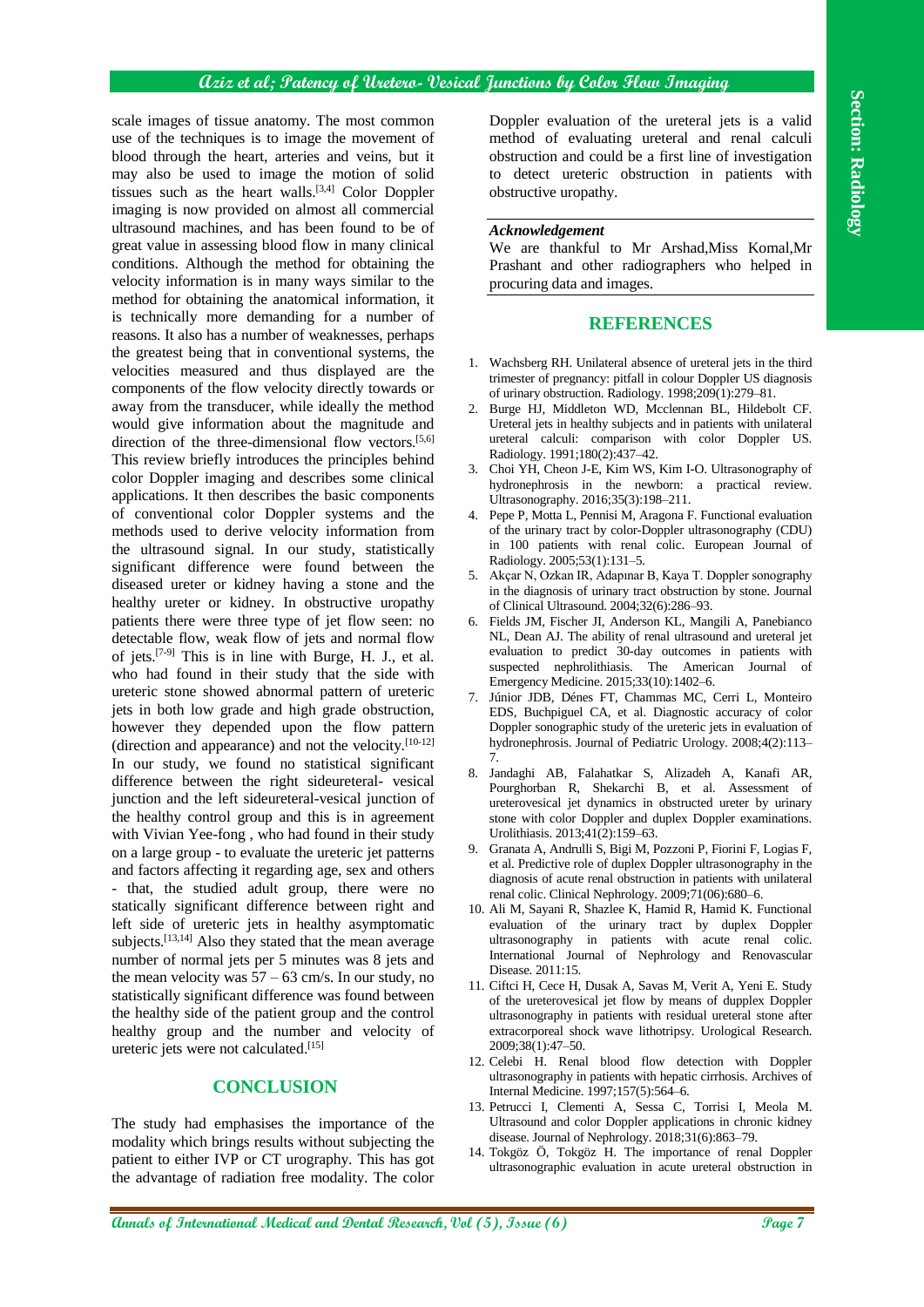### **Aziz et al; Patency of Uretero- Vesical Junctions by Color Flow Imaging**

Ansk magner of rissus numerics . The measurement is the measurement of the measurement is a wide of Dental Research in the measurement is a result of the measurement is a result of the measurement is a result of the measur scale images of tissue anatomy. The most common use of the techniques is to image the movement of blood through the heart, arteries and veins, but it may also be used to image the motion of solid tissues such as the heart walls.<sup>[3,4]</sup> Color Doppler imaging is now provided on almost all commercial ultrasound machines, and has been found to be of great value in assessing blood flow in many clinical conditions. Although the method for obtaining the velocity information is in many ways similar to the method for obtaining the anatomical information, it is technically more demanding for a number of reasons. It also has a number of weaknesses, perhaps the greatest being that in conventional systems, the velocities measured and thus displayed are the components of the flow velocity directly towards or away from the transducer, while ideally the method would give information about the magnitude and direction of the three-dimensional flow vectors.<sup>[5,6]</sup> This review briefly introduces the principles behind color Doppler imaging and describes some clinical applications. It then describes the basic components of conventional color Doppler systems and the methods used to derive velocity information from the ultrasound signal. In our study, statistically significant difference were found between the diseased ureter or kidney having a stone and the healthy ureter or kidney. In obstructive uropathy patients there were three type of jet flow seen: no detectable flow, weak flow of jets and normal flow of jets.<sup>[7-9]</sup> This is in line with Burge, H. J., et al. who had found in their study that the side with ureteric stone showed abnormal pattern of ureteric jets in both low grade and high grade obstruction. however they depended upon the flow pattern (direction and appearance) and not the velocity.[10-12] In our study, we found no statistical significant difference between the right sideureteral- vesical junction and the left sideureteral-vesical junction of the healthy control group and this is in agreement with Vivian Yee-fong , who had found in their study on a large group - to evaluate the ureteric jet patterns and factors affecting it regarding age, sex and others - that, the studied adult group, there were no statically significant difference between right and left side of ureteric jets in healthy asymptomatic subjects.<sup>[13,14]</sup> Also they stated that the mean average number of normal jets per 5 minutes was 8 jets and the mean velocity was  $57 - 63$  cm/s. In our study, no statistically significant difference was found between the healthy side of the patient group and the control healthy group and the number and velocity of ureteric jets were not calculated. [15]

#### **CONCLUSION**

The study had emphasises the importance of the modality which brings results without subjecting the patient to either IVP or CT urography. This has got the advantage of radiation free modality. The color Doppler evaluation of the ureteral jets is a valid method of evaluating ureteral and renal calculi obstruction and could be a first line of investigation to detect ureteric obstruction in patients with obstructive uropathy.

#### *Acknowledgement*

We are thankful to Mr Arshad,Miss Komal,Mr Prashant and other radiographers who helped in procuring data and images.

#### **REFERENCES**

- 1. Wachsberg RH. Unilateral absence of ureteral jets in the third trimester of pregnancy: pitfall in colour Doppler US diagnosis of urinary obstruction. Radiology. 1998;209(1):279–81.
- 2. Burge HJ, Middleton WD, Mcclennan BL, Hildebolt CF. Ureteral jets in healthy subjects and in patients with unilateral ureteral calculi: comparison with color Doppler US. Radiology. 1991;180(2):437–42.
- 3. Choi YH, Cheon J-E, Kim WS, Kim I-O. Ultrasonography of hydronephrosis in the newborn: a practical review. Ultrasonography. 2016;35(3):198–211.
- 4. Pepe P, Motta L, Pennisi M, Aragona F. Functional evaluation of the urinary tract by color-Doppler ultrasonography (CDU) in 100 patients with renal colic. European Journal of Radiology. 2005;53(1):131–5.
- 5. Akçar N, Ozkan IR, Adapınar B, Kaya T. Doppler sonography in the diagnosis of urinary tract obstruction by stone. Journal of Clinical Ultrasound. 2004;32(6):286–93.
- 6. Fields JM, Fischer JI, Anderson KL, Mangili A, Panebianco NL, Dean AJ. The ability of renal ultrasound and ureteral jet evaluation to predict 30-day outcomes in patients with suspected nephrolithiasis. The American Journal of Emergency Medicine. 2015;33(10):1402–6.
- 7. Júnior JDB, Dénes FT, Chammas MC, Cerri L, Monteiro EDS, Buchpiguel CA, et al. Diagnostic accuracy of color Doppler sonographic study of the ureteric jets in evaluation of hydronephrosis. Journal of Pediatric Urology. 2008;4(2):113– 7.
- 8. Jandaghi AB, Falahatkar S, Alizadeh A, Kanafi AR, Pourghorban R, Shekarchi B, et al. Assessment of ureterovesical jet dynamics in obstructed ureter by urinary stone with color Doppler and duplex Doppler examinations. Urolithiasis. 2013;41(2):159–63.
- 9. Granata A, Andrulli S, Bigi M, Pozzoni P, Fiorini F, Logias F, et al. Predictive role of duplex Doppler ultrasonography in the diagnosis of acute renal obstruction in patients with unilateral renal colic. Clinical Nephrology. 2009;71(06):680–6.
- 10. Ali M, Sayani R, Shazlee K, Hamid R, Hamid K. Functional evaluation of the urinary tract by duplex Doppler ultrasonography in patients with acute renal colic. International Journal of Nephrology and Renovascular Disease. 2011:15.
- 11. Ciftci H, Cece H, Dusak A, Savas M, Verit A, Yeni E. Study of the ureterovesical jet flow by means of dupplex Doppler ultrasonography in patients with residual ureteral stone after extracorporeal shock wave lithotripsy. Urological Research. 2009;38(1):47–50.
- 12. Celebi H. Renal blood flow detection with Doppler ultrasonography in patients with hepatic cirrhosis. Archives of Internal Medicine. 1997;157(5):564–6.
- 13. Petrucci I, Clementi A, Sessa C, Torrisi I, Meola M. Ultrasound and color Doppler applications in chronic kidney disease. Journal of Nephrology. 2018;31(6):863–79.
- 14. Tokgöz Ö, Tokgöz H. The importance of renal Doppler ultrasonographic evaluation in acute ureteral obstruction in